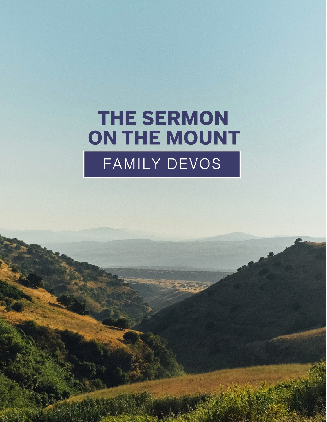# **THE SERMON** ON THE MOUNT FAMILY DEVOS

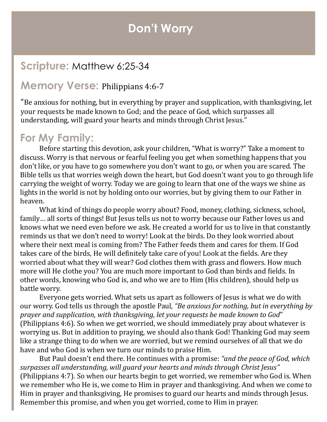#### **Don't Worry**

#### **Scripture:** Matthew 6:25-34

#### **Memory Verse:** Philippians 4:6-7

"Be anxious for nothing, but in everything by prayer and supplication, with thanksgiving, let your requests be made known to God; and the peace of God, which surpasses all understanding, will guard your hearts and minds through Christ Jesus."

#### **For My Family:**

Before starting this devotion, ask your children, "What is worry?" Take a moment to discuss. Worry is that nervous or fearful feeling you get when something happens that you don't like, or you have to go somewhere you don't want to go, or when you are scared. The Bible tells us that worries weigh down the heart, but God doesn't want you to go through life carrying the weight of worry. Today we are going to learn that one of the ways we shine as lights in the world is not by holding onto our worries, but by giving them to our Father in heaven.

What kind of things do people worry about? Food, money, clothing, sickness, school, family… all sorts of things! But Jesus tells us not to worry because our Father loves us and knows what we need even before we ask. He created a world for us to live in that constantly reminds us that we don't need to worry! Look at the birds. Do they look worried about where their next meal is coming from? The Father feeds them and cares for them. If God takes care of the birds, He will definitely take care of you! Look at the fields. Are they worried about what they will wear? God clothes them with grass and flowers. How much more will He clothe you? You are much more important to God than birds and fields. In other words, knowing who God is, and who we are to Him (His children), should help us battle worry.

Everyone gets worried. What sets us apart as followers of Jesus is what we do with our worry. God tells us through the apostle Paul, *"Be anxious for nothing, but in everything by prayer and supplication, with thanksgiving, let your requests be made known to God*" (Philippians 4:6). So when we get worried, we should immediately pray about whatever is worrying us. But in addition to praying, we should also thank God! Thanking God may seem like a strange thing to do when we are worried, but we remind ourselves of all that we do have and who God is when we turn our minds to praise Him.

But Paul doesn't end there. He continues with a promise: *"and the peace of God, which surpasses all understanding, will guard your hearts and minds through Christ Jesus"*  (Philippians 4:7). So when our hearts begin to get worried, we remember who God is. When we remember who He is, we come to Him in prayer and thanksgiving. And when we come to Him in prayer and thanksgiving, He promises to guard our hearts and minds through Jesus. Remember this promise, and when you get worried, come to Him in prayer.